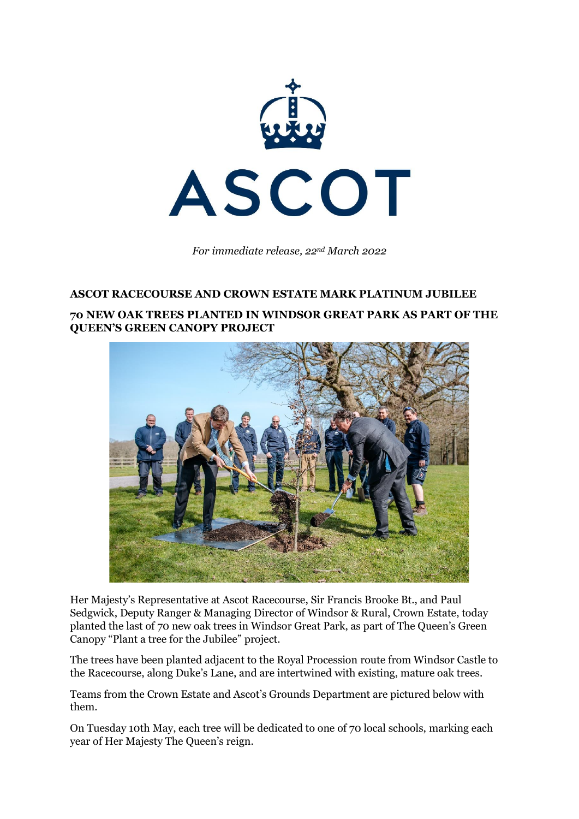

*For immediate release, 22nd March 2022*

#### **ASCOT RACECOURSE AND CROWN ESTATE MARK PLATINUM JUBILEE**

#### **70 NEW OAK TREES PLANTED IN WINDSOR GREAT PARK AS PART OF THE QUEEN'S GREEN CANOPY PROJECT**



Her Majesty's Representative at Ascot Racecourse, Sir Francis Brooke Bt., and Paul Sedgwick, Deputy Ranger & Managing Director of Windsor & Rural, Crown Estate, today planted the last of 70 new oak trees in Windsor Great Park, as part of The Queen's Green Canopy "Plant a tree for the Jubilee" project.

The trees have been planted adjacent to the Royal Procession route from Windsor Castle to the Racecourse, along Duke's Lane, and are intertwined with existing, mature oak trees.

Teams from the Crown Estate and Ascot's Grounds Department are pictured below with them.

On Tuesday 10th May, each tree will be dedicated to one of 70 local schools, marking each year of Her Majesty The Queen's reign.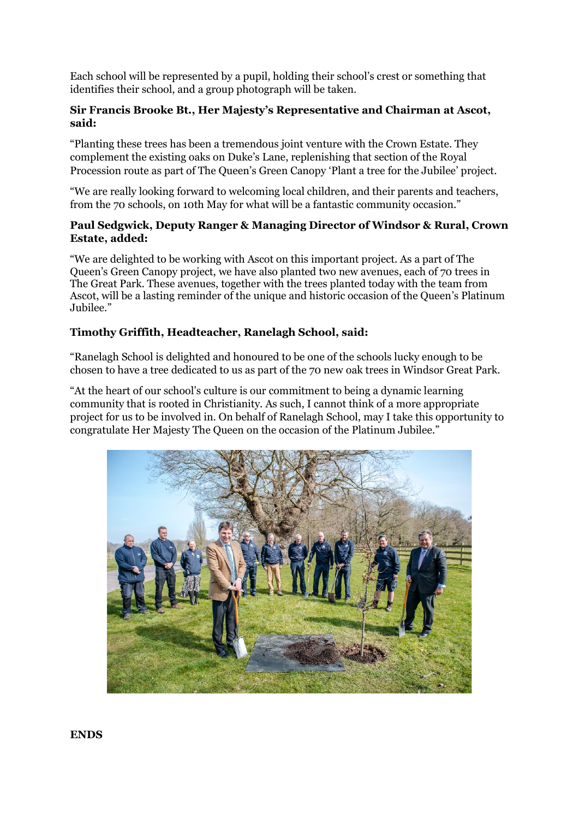Each school will be represented by a pupil, holding their school's crest or something that identifies their school, and a group photograph will be taken.

# **Sir Francis Brooke Bt., Her Majesty's Representative and Chairman at Ascot, said:**

"Planting these trees has been a tremendous joint venture with the Crown Estate. They complement the existing oaks on Duke's Lane, replenishing that section of the Royal Procession route as part of The Queen's Green Canopy 'Plant a tree for the Jubilee' project.

"We are really looking forward to welcoming local children, and their parents and teachers, from the 70 schools, on 10th May for what will be a fantastic community occasion."

## **Paul Sedgwick, Deputy Ranger & Managing Director of Windsor & Rural, Crown Estate, added:**

"We are delighted to be working with Ascot on this important project. As a part of The Queen's Green Canopy project, we have also planted two new avenues, each of 70 trees in The Great Park. These avenues, together with the trees planted today with the team from Ascot, will be a lasting reminder of the unique and historic occasion of the Queen's Platinum Jubilee."

# **Timothy Griffith, Headteacher, Ranelagh School, said:**

"Ranelagh School is delighted and honoured to be one of the schools lucky enough to be chosen to have a tree dedicated to us as part of the 70 new oak trees in Windsor Great Park.

"At the heart of our school's culture is our commitment to being a dynamic learning community that is rooted in Christianity. As such, I cannot think of a more appropriate project for us to be involved in. On behalf of Ranelagh School, may I take this opportunity to congratulate Her Majesty The Queen on the occasion of the Platinum Jubilee."